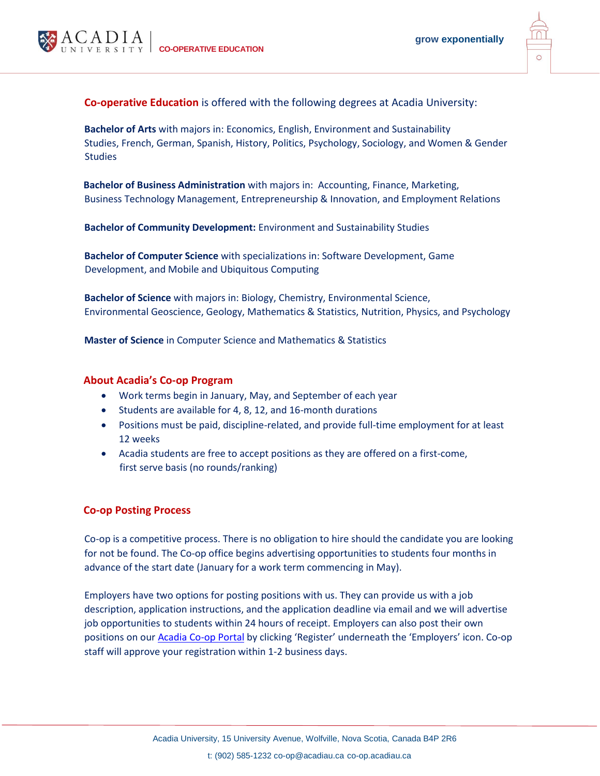

**Co-operative Education** is offered with the following degrees at Acadia University:

**Bachelor of Arts** with majors in: Economics, English, Environment and Sustainability Studies, French, German, Spanish, History, Politics, Psychology, Sociology, and Women & Gender **Studies** 

**Bachelor of Business Administration** with majors in:Accounting, Finance, Marketing, Business Technology Management, Entrepreneurship & Innovation, and Employment Relations

**Bachelor of Community Development:** Environment and Sustainability Studies

**Bachelor of Computer Science** with specializations in: Software Development, Game Development, and Mobile and Ubiquitous Computing

**Bachelor of Science** with majors in: Biology, Chemistry, Environmental Science, Environmental Geoscience, Geology, Mathematics & Statistics, Nutrition, Physics, and Psychology

**Master of Science** in Computer Science and Mathematics & Statistics

### **About Acadia's Co-op Program**

- Work terms begin in January, May, and September of each year
- Students are available for 4, 8, 12, and 16-month durations
- Positions must be paid, discipline-related, and provide full-time employment for at least 12 weeks
- Acadia students are free to accept positions as they are offered on a first-come, first serve basis (no rounds/ranking)

#### **Co-op Posting Process**

Co-op is a competitive process. There is no obligation to hire should the candidate you are looking for not be found. The Co-op office begins advertising opportunities to students four months in advance of the start date (January for a work term commencing in May).

Employers have two options for posting positions with us. They can provide us with a job description, application instructions, and the application deadline via email and we will advertise job opportunities to students within 24 hours of receipt. Employers can also post their own positions on our [Acadia Co-op Portal](https://co-opportal.acadiau.ca/home.htm) by clicking 'Register' underneath the 'Employers' icon. Co-op staff will approve your registration within 1-2 business days.